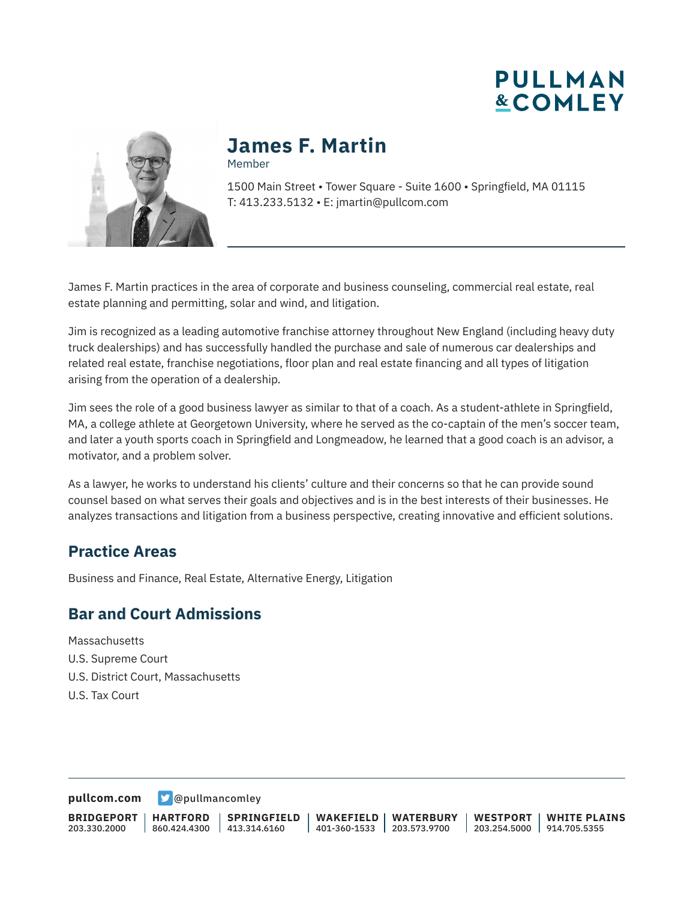



## **James F. Martin**

Member

1500 Main Street • Tower Square - Suite 1600 • Springfield, MA 01115 T: 413.233.5132 • E: jmartin@pullcom.com

James F. Martin practices in the area of corporate and business counseling, commercial real estate, real estate planning and permitting, solar and wind, and litigation.

Jim is recognized as a leading automotive franchise attorney throughout New England (including heavy duty truck dealerships) and has successfully handled the purchase and sale of numerous car dealerships and related real estate, franchise negotiations, floor plan and real estate financing and all types of litigation arising from the operation of a dealership.

Jim sees the role of a good business lawyer as similar to that of a coach. As a student-athlete in Springfield, MA, a college athlete at Georgetown University, where he served as the co-captain of the men's soccer team, and later a youth sports coach in Springfield and Longmeadow, he learned that a good coach is an advisor, a motivator, and a problem solver.

As a lawyer, he works to understand his clients' culture and their concerns so that he can provide sound counsel based on what serves their goals and objectives and is in the best interests of their businesses. He analyzes transactions and litigation from a business perspective, creating innovative and efficient solutions.

### **Practice Areas**

Business and Finance, Real Estate, Alternative Energy, Litigation

### **Bar and Court Admissions**

**Massachusetts** U.S. Supreme Court U.S. District Court, Massachusetts U.S. Tax Court

**[pullcom.com](https://www.pullcom.com)** [@pullmancomley](https://twitter.com/PullmanComley)

**BRIDGEPORT** 203.330.2000 **HARTFORD** 860.424.4300 413.314.6160 **SPRINGFIELD WAKEFIELD** 401-360-1533 203.573.9700 **WATERBURY WESTPORT** 203.254.5000 914.705.5355 **WHITE PLAINS**